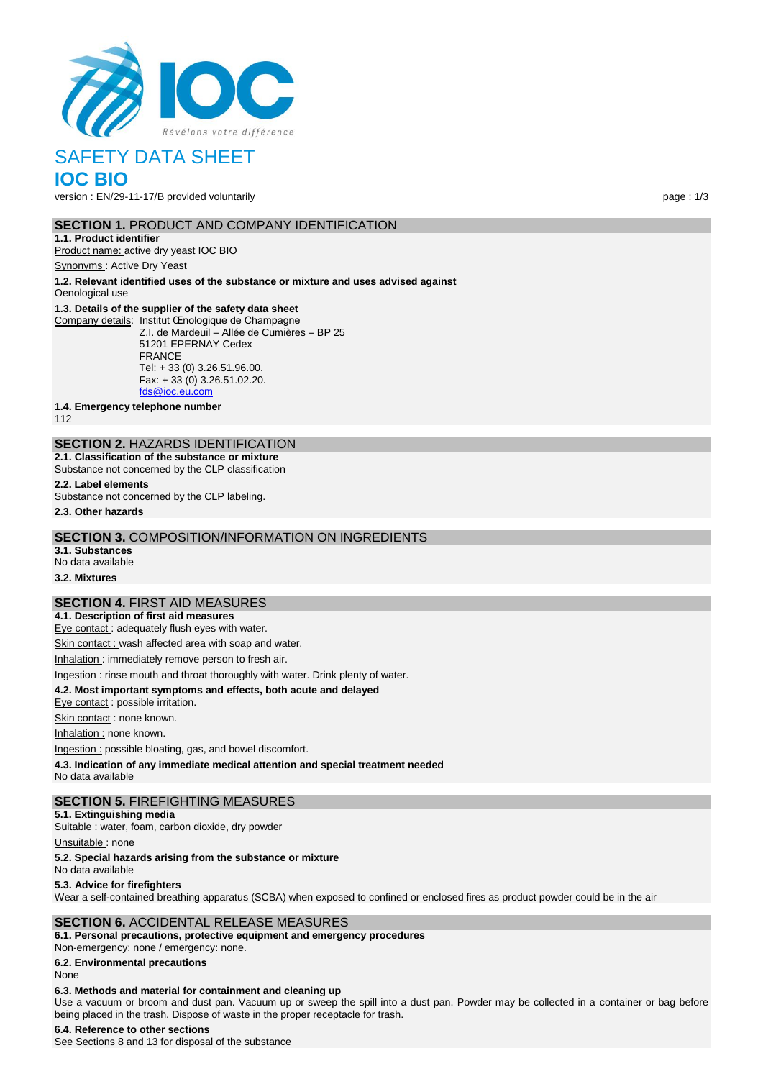

# SAFETY DATA SHEET

# **IOC BIO**

version : EN/29-11-17/B provided voluntarily page : 1/3

#### **SECTION 1.** PRODUCT AND COMPANY IDENTIFICATION

**1.1. Product identifier** Product name: active dry yeast IOC BIO

Synonyms : Active Dry Yeast

**1.2. Relevant identified uses of the substance or mixture and uses advised against** Oenological use

#### **1.3. Details of the supplier of the safety data sheet**

Company details: Institut Œnologique de Champagne Z.I. de Mardeuil – Allée de Cumières – BP 25 51201 EPERNAY Cedex FRANCE Tel: + 33 (0) 3.26.51.96.00. Fax: + 33 (0) 3.26.51.02.20. [fds@ioc.eu.com](mailto:fds@ioc.eu.com)

**1.4. Emergency telephone number**

112

# **SECTION 2.** HAZARDS IDENTIFICATION

**2.1. Classification of the substance or mixture** Substance not concerned by the CLP classification

**2.2. Label elements**

Substance not concerned by the CLP labeling.

**2.3. Other hazards**

#### **SECTION 3.** COMPOSITION/INFORMATION ON INGREDIENTS

**3.1. Substances** No data available

**3.2. Mixtures**

#### **SECTION 4.** FIRST AID MEASURES

**4.1. Description of first aid measures** Eye contact : adequately flush eyes with water.

Skin contact : wash affected area with soap and water.

Inhalation : immediately remove person to fresh air.

## Ingestion : rinse mouth and throat thoroughly with water. Drink plenty of water.

**4.2. Most important symptoms and effects, both acute and delayed**

Eye contact : possible irritation.

Skin contact : none known.

Inhalation : none known.

Ingestion : possible bloating, gas, and bowel discomfort.

**4.3. Indication of any immediate medical attention and special treatment needed**

No data available

#### **SECTION 5.** FIREFIGHTING MEASURES

**5.1. Extinguishing media**

Suitable : water, foam, carbon dioxide, dry powder

Unsuitable: none

#### **5.2. Special hazards arising from the substance or mixture**

No data available

#### **5.3. Advice for firefighters**

Wear a self-contained breathing apparatus (SCBA) when exposed to confined or enclosed fires as product powder could be in the air

#### **SECTION 6.** ACCIDENTAL RELEASE MEASURES

**6.1. Personal precautions, protective equipment and emergency procedures** Non‐emergency: none / emergency: none.

**6.2. Environmental precautions**

#### None

#### **6.3. Methods and material for containment and cleaning up**

Use a vacuum or broom and dust pan. Vacuum up or sweep the spill into a dust pan. Powder may be collected in a container or bag before being placed in the trash. Dispose of waste in the proper receptacle for trash.

#### **6.4. Reference to other sections**

See Sections 8 and 13 for disposal of the substance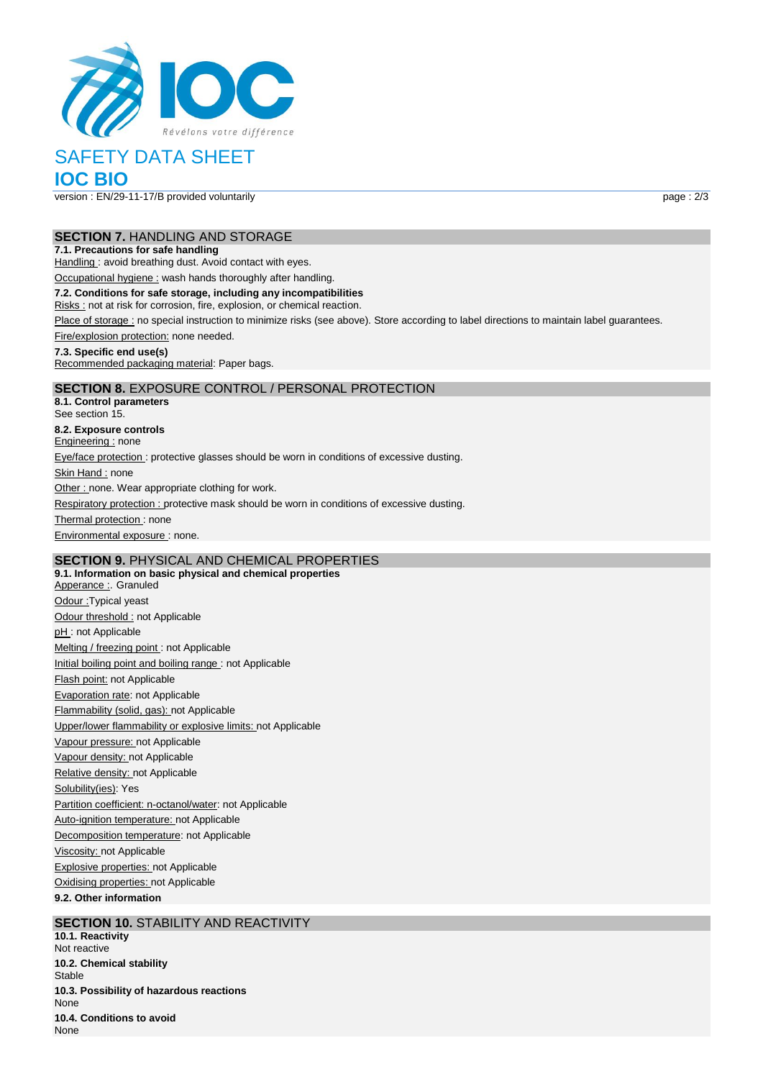

# SAFETY DATA SHEET

**IOC BIO**

version : EN/29-11-17/B provided voluntarily page : 2/3

#### **SECTION 7.** HANDLING AND STORAGE

#### **7.1. Precautions for safe handling**

Handling : avoid breathing dust. Avoid contact with eyes.

Occupational hygiene : wash hands thoroughly after handling.

#### **7.2. Conditions for safe storage, including any incompatibilities**

Risks : not at risk for corrosion, fire, explosion, or chemical reaction.

Place of storage : no special instruction to minimize risks (see above). Store according to label directions to maintain label guarantees.

Fire/explosion protection: none needed.

#### **7.3. Specific end use(s)**

Recommended packaging material: Paper bags.

### **SECTION 8.** EXPOSURE CONTROL / PERSONAL PROTECTION

**8.1. Control parameters** See section 15. **8.2. Exposure controls** Engineering : none Eye/face protection : protective glasses should be worn in conditions of excessive dusting. Skin Hand : none Other : none. Wear appropriate clothing for work. Respiratory protection : protective mask should be worn in conditions of excessive dusting. Thermal protection: none Environmental exposure : none.

## **SECTION 9.** PHYSICAL AND CHEMICAL PROPERTIES

**9.1. Information on basic physical and chemical properties** Apperance : Granuled Odour :Typical yeast Odour threshold : not Applicable pH: not Applicable Melting / freezing point : not Applicable Initial boiling point and boiling range : not Applicable Flash point: not Applicable Evaporation rate: not Applicable Flammability (solid, gas): not Applicable Upper/lower flammability or explosive limits: not Applicable Vapour pressure: not Applicable Vapour density: not Applicable Relative density: not Applicable Solubility(ies): Yes Partition coefficient: n-octanol/water: not Applicable Auto-ignition temperature: not Applicable Decomposition temperature: not Applicable Viscosity: not Applicable Explosive properties: not Applicable Oxidising properties: not Applicable **9.2. Other information**

#### **SECTION 10. STABILITY AND REACTIVITY**

**10.1. Reactivity** Not reactive **10.2. Chemical stability** Stable **10.3. Possibility of hazardous reactions** None **10.4. Conditions to avoid** None